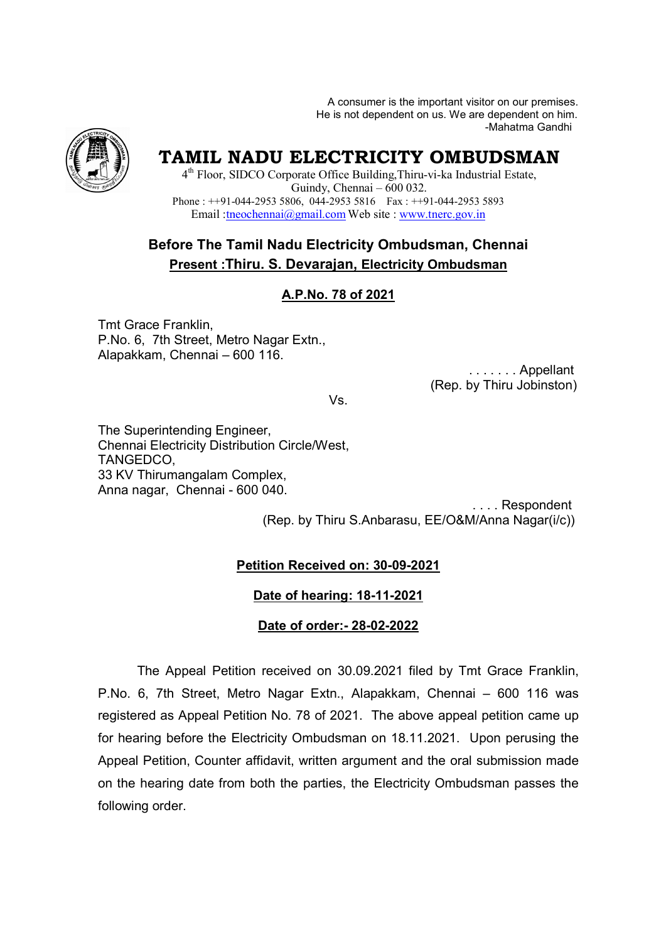A consumer is the important visitor on our premises. A consumer is the important visitor on our premises.<br>He is not dependent on us. We are dependent on him. -Mahatma Gandhi



# **TAMIL NADU ELECTRICITY OMBUDSMAN**

4<sup>th</sup> Floor, SIDCO Corporate Office Building, Thiru-vi-ka Industrial Estate, Phone :  $++91-044-29535806$ , 044-29535816 Fax :  $++91-044-29535893$ Email : theochennai@gmail.com Web site : www.tnerc.gov.in Guindy, Chennai – 600 032.

## **Before The Tamil Nadu Electricity Ombudsman, Chennai Present :Thiru. S. Devarajan, Devarajan, Electricity Ombudsman**

## **A.P.No. 78 of 2021**

Tmt Grace Franklin, P.No. 6, 7th Street, Metro Nagar Extn., Alapakkam, Chennai – 600 116.

 . . . . . . . Appellant (Rep. by Thiru Jobinston Rep. Jobinston)

Vs.

The Superintending Engineer, Chennai Electricity Distribution Circle/West, TANGEDCO, 33 KV Thirumangalam Complex, Anna nagar, Chennai - 600 040.

(Rep. by Thiru S.Anbarasu, EE/O&M/Anna Nagar(i/c)) . . . . Respondent

#### **Petition Received on: 30-09-2021**

#### **Date of hearing: 18-11-2021**

#### **Date of order:- 28-02-2022**

The Appeal Petition Petition received on 30.09.2021 filed by Tmt Grace Franklin, The Appeal Petition received on 30.09.2021 filed by Tmt Grace Franklin,<br>P.No. 6, 7th Street, Metro Nagar Extn., Alapakkam, Chennai – 600 116 was registered as Appeal Petition No. 78 of 2021. The above appeal petition came up registered as Appeal Petition No. 78 of 2021. The above appeal petition came up<br>for hearing before the Electricity Ombudsman on 18.11.2021. Upon perusing the Appeal Petition, Counter affidavit, written argument and the oral submission made on the hearing date from both the parties, the Electricity Ombudsman passes the following order.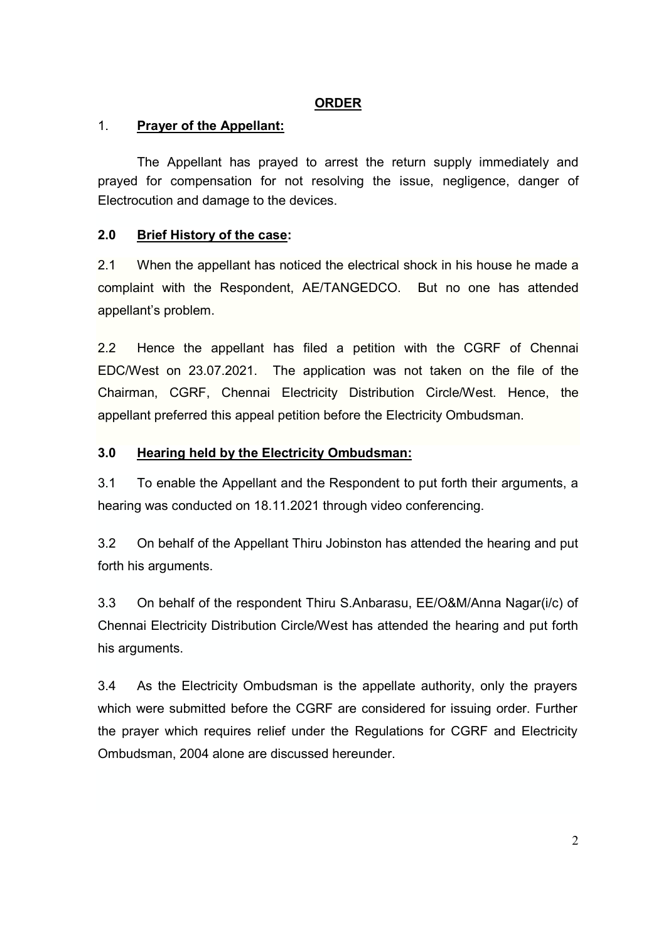## **ORDER**

## 1. **Prayer of the Appellant:**

The Appellant has prayed to arrest the return supply immediately and prayed for compensation for not resolving the issue, negligence, danger of Electrocution and damage to the devices.

## **2.0 Brief History of the case:**

2.1 When the appellant has noticed the electrical shock in his house he made a complaint with the Respondent, AE/TANGEDCO. But no one has attended appellant's problem.

2.2 Hence the appellant has filed a petition with the CGRF of Chennai EDC/West on 23.07.2021. The application was not taken on the file of the Chairman, CGRF, Chennai Electricity Distribution Circle/West. Hence, the appellant preferred this appeal petition before the Electricity Ombudsman.

## **3.0 Hearing held by the Electricity Ombudsman:**

3.1 To enable the Appellant and the Respondent to put forth their arguments, a hearing was conducted on 18.11.2021 through video conferencing.

3.2 On behalf of the Appellant Thiru Jobinston has attended the hearing and put forth his arguments.

3.3 On behalf of the respondent Thiru S.Anbarasu, EE/O&M/Anna Nagar(i/c) of Chennai Electricity Distribution Circle/West has attended the hearing and put forth his arguments.

3.4 As the Electricity Ombudsman is the appellate authority, only the prayers which were submitted before the CGRF are considered for issuing order. Further the prayer which requires relief under the Regulations for CGRF and Electricity Ombudsman, 2004 alone are discussed hereunder.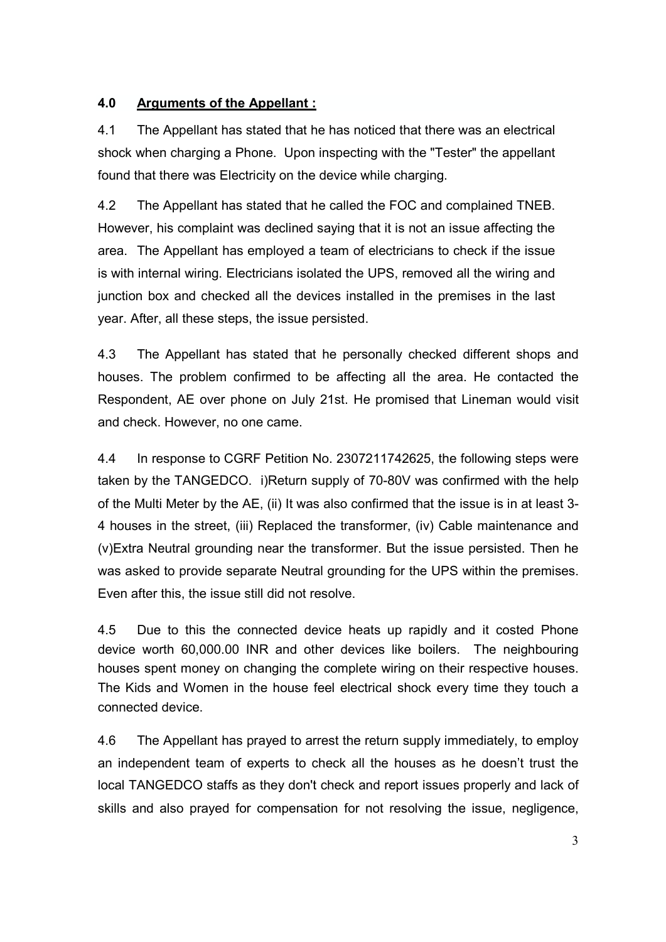## **4.0 Arguments of the Appellant :**

4.1 The Appellant has stated that he has noticed that there was an electrical shock when charging a Phone. Upon inspecting with the "Tester" the appellant found that there was Electricity on the device while charging.

4.2 The Appellant has stated that he called the FOC and complained TNEB. However, his complaint was declined saying that it is not an issue affecting the area. The Appellant has employed a team of electricians to check if the issue is with internal wiring. Electricians isolated the UPS, removed all the wiring and junction box and checked all the devices installed in the premises in the last year. After, all these steps, the issue persisted.

4.3 The Appellant has stated that he personally checked different shops and houses. The problem confirmed to be affecting all the area. He contacted the Respondent, AE over phone on July 21st. He promised that Lineman would visit and check. However, no one came.

4.4 In response to CGRF Petition No. 2307211742625, the following steps were taken by the TANGEDCO. i)Return supply of 70-80V was confirmed with the help of the Multi Meter by the AE, (ii) It was also confirmed that the issue is in at least 3- 4 houses in the street, (iii) Replaced the transformer, (iv) Cable maintenance and (v)Extra Neutral grounding near the transformer. But the issue persisted. Then he was asked to provide separate Neutral grounding for the UPS within the premises. Even after this, the issue still did not resolve.

4.5 Due to this the connected device heats up rapidly and it costed Phone device worth 60,000.00 INR and other devices like boilers. The neighbouring houses spent money on changing the complete wiring on their respective houses. The Kids and Women in the house feel electrical shock every time they touch a connected device.

4.6 The Appellant has prayed to arrest the return supply immediately, to employ an independent team of experts to check all the houses as he doesn't trust the local TANGEDCO staffs as they don't check and report issues properly and lack of skills and also prayed for compensation for not resolving the issue, negligence,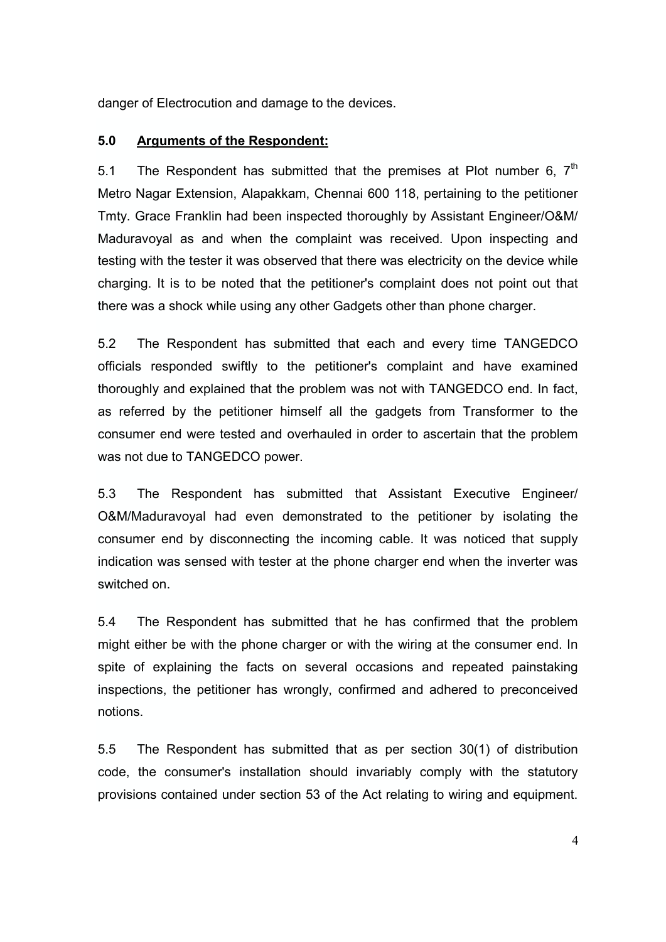danger of Electrocution and damage to the devices.

#### **5.0 Arguments of the Respondent:**

5.1 The Respondent has submitted that the premises at Plot number 6,  $7<sup>th</sup>$ Metro Nagar Extension, Alapakkam, Chennai 600 118, pertaining to the petitioner Tmty. Grace Franklin had been inspected thoroughly by Assistant Engineer/O&M/ Maduravoyal as and when the complaint was received. Upon inspecting and testing with the tester it was observed that there was electricity on the device while charging. It is to be noted that the petitioner's complaint does not point out that there was a shock while using any other Gadgets other than phone charger.

5.2 The Respondent has submitted that each and every time TANGEDCO officials responded swiftly to the petitioner's complaint and have examined thoroughly and explained that the problem was not with TANGEDCO end. In fact, as referred by the petitioner himself all the gadgets from Transformer to the consumer end were tested and overhauled in order to ascertain that the problem was not due to TANGEDCO power.

5.3 The Respondent has submitted that Assistant Executive Engineer/ O&M/Maduravoyal had even demonstrated to the petitioner by isolating the consumer end by disconnecting the incoming cable. It was noticed that supply indication was sensed with tester at the phone charger end when the inverter was switched on.

5.4 The Respondent has submitted that he has confirmed that the problem might either be with the phone charger or with the wiring at the consumer end. In spite of explaining the facts on several occasions and repeated painstaking inspections, the petitioner has wrongly, confirmed and adhered to preconceived notions.

5.5 The Respondent has submitted that as per section 30(1) of distribution code, the consumer's installation should invariably comply with the statutory provisions contained under section 53 of the Act relating to wiring and equipment.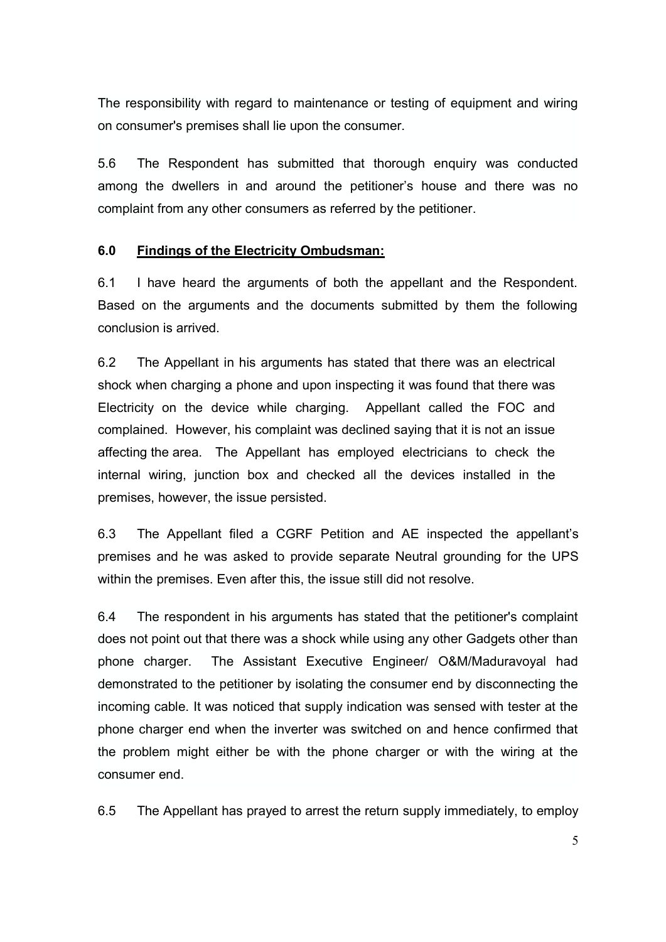The responsibility with regard to maintenance or testing of equipment and wiring on consumer's premises shall lie upon the consumer.

5.6 The Respondent has submitted that thorough enquiry was conducted among the dwellers in and around the petitioner's house and there was no complaint from any other consumers as referred by the petitioner.

#### **6.0 Findings of the Electricity Ombudsman:**

6.1 I have heard the arguments of both the appellant and the Respondent. Based on the arguments and the documents submitted by them the following conclusion is arrived.

6.2 The Appellant in his arguments has stated that there was an electrical shock when charging a phone and upon inspecting it was found that there was Electricity on the device while charging. Appellant called the FOC and complained. However, his complaint was declined saying that it is not an issue affecting the area. The Appellant has employed electricians to check the internal wiring, junction box and checked all the devices installed in the premises, however, the issue persisted.

6.3 The Appellant filed a CGRF Petition and AE inspected the appellant's premises and he was asked to provide separate Neutral grounding for the UPS within the premises. Even after this, the issue still did not resolve.

6.4 The respondent in his arguments has stated that the petitioner's complaint does not point out that there was a shock while using any other Gadgets other than phone charger. The Assistant Executive Engineer/ O&M/Maduravoyal had demonstrated to the petitioner by isolating the consumer end by disconnecting the incoming cable. It was noticed that supply indication was sensed with tester at the phone charger end when the inverter was switched on and hence confirmed that the problem might either be with the phone charger or with the wiring at the consumer end.

6.5 The Appellant has prayed to arrest the return supply immediately, to employ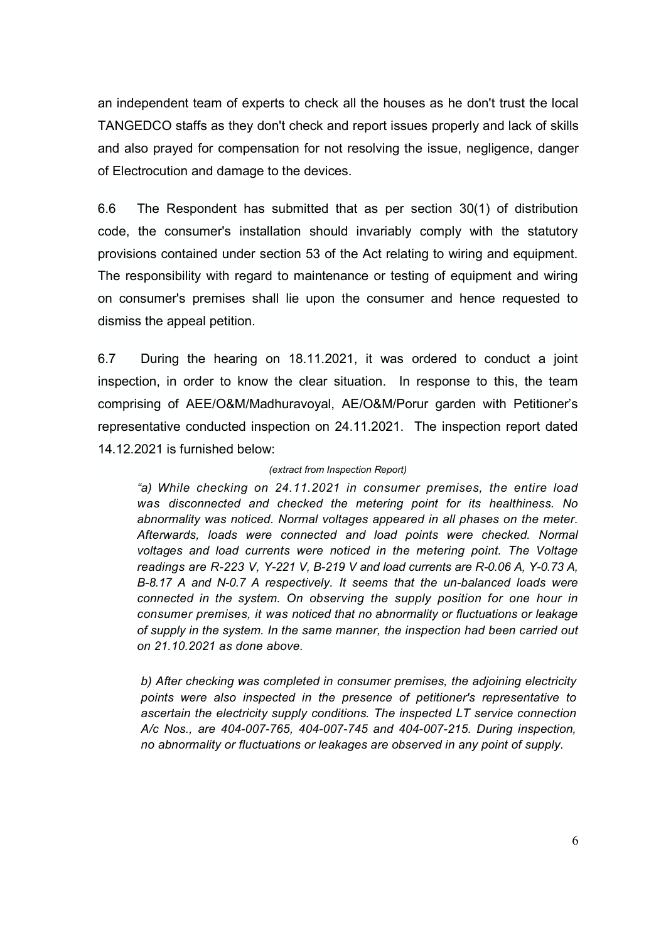an independent team of experts to check all the houses as he don't trust the local TANGEDCO staffs as they don't check and report issues properly and lack of skills and also prayed for compensation for not resolving the issue, negligence, danger of Electrocution and damage to the devices.

6.6 The Respondent has submitted that as per section 30(1) of distribution code, the consumer's installation should invariably comply with the statutory provisions contained under section 53 of the Act relating to wiring and equipment. The responsibility with regard to maintenance or testing of equipment and wiring on consumer's premises shall lie upon the consumer and hence requested to dismiss the appeal petition.

6.7 During the hearing on 18.11.2021, it was ordered to conduct a joint inspection, in order to know the clear situation. In response to this, the team comprising of AEE/O&M/Madhuravoyal, AE/O&M/Porur garden with Petitioner's representative conducted inspection on 24.11.2021. The inspection report dated 14.12.2021 is furnished below:

#### *(extract from Inspection Report)*

*"a) While checking on 24.11.2021 in consumer premises, the entire load was disconnected and checked the metering point for its healthiness. No abnormality was noticed. Normal voltages appeared in all phases on the meter. Afterwards, loads were connected and load points were checked. Normal voltages and load currents were noticed in the metering point. The Voltage readings are R-223 V, Y-221 V, B-219 V and load currents are R-0.06 A, Y-0.73 A, B-8.17 A and N-0.7 A respectively. It seems that the un-balanced loads were connected in the system. On observing the supply position for one hour in consumer premises, it was noticed that no abnormality or fluctuations or leakage of supply in the system. In the same manner, the inspection had been carried out on 21.10.2021 as done above.*

*b) After checking was completed in consumer premises, the adjoining electricity points were also inspected in the presence of petitioner's representative to ascertain the electricity supply conditions. The inspected LT service connection A/c Nos., are 404-007-765, 404-007-745 and 404-007-215. During inspection, no abnormality or fluctuations or leakages are observed in any point of supply.*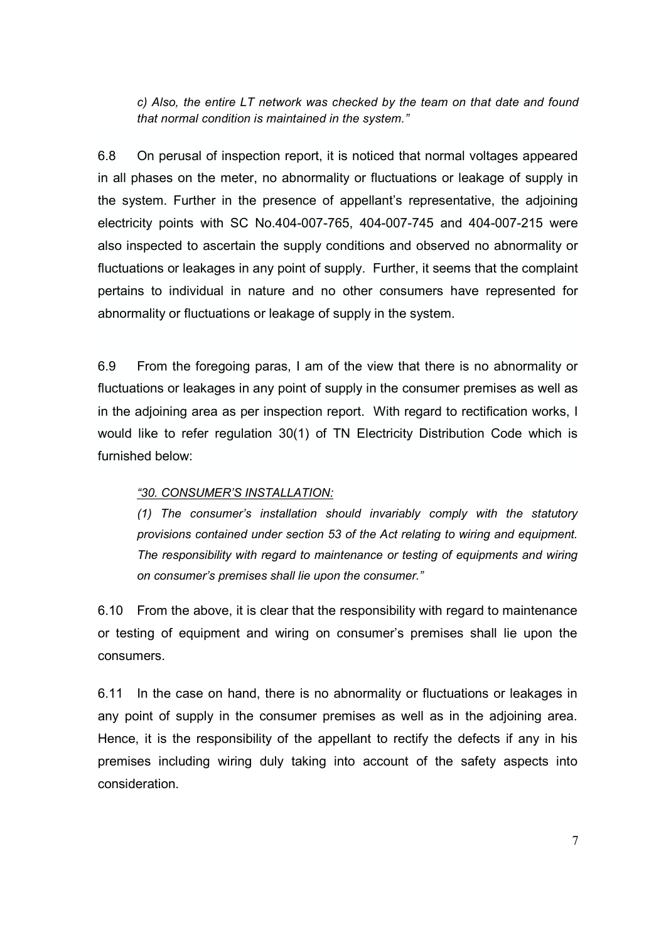*c) Also, the entire LT network was checked by the team on that date and found that normal condition is maintained in the system."*

6.8 On perusal of inspection report, it is noticed that normal voltages appeared in all phases on the meter, no abnormality or fluctuations or leakage of supply in the system. Further in the presence of appellant's representative, the adjoining electricity points with SC No.404-007-765, 404-007-745 and 404-007-215 were also inspected to ascertain the supply conditions and observed no abnormality or fluctuations or leakages in any point of supply. Further, it seems that the complaint pertains to individual in nature and no other consumers have represented for abnormality or fluctuations or leakage of supply in the system.

6.9 From the foregoing paras, I am of the view that there is no abnormality or fluctuations or leakages in any point of supply in the consumer premises as well as in the adjoining area as per inspection report. With regard to rectification works, I would like to refer regulation 30(1) of TN Electricity Distribution Code which is furnished below:

#### *"30. CONSUMER'S INSTALLATION:*

*(1) The consumer's installation should invariably comply with the statutory provisions contained under section 53 of the Act relating to wiring and equipment. The responsibility with regard to maintenance or testing of equipments and wiring on consumer's premises shall lie upon the consumer."* 

6.10 From the above, it is clear that the responsibility with regard to maintenance or testing of equipment and wiring on consumer's premises shall lie upon the consumers.

6.11 In the case on hand, there is no abnormality or fluctuations or leakages in any point of supply in the consumer premises as well as in the adjoining area. Hence, it is the responsibility of the appellant to rectify the defects if any in his premises including wiring duly taking into account of the safety aspects into consideration.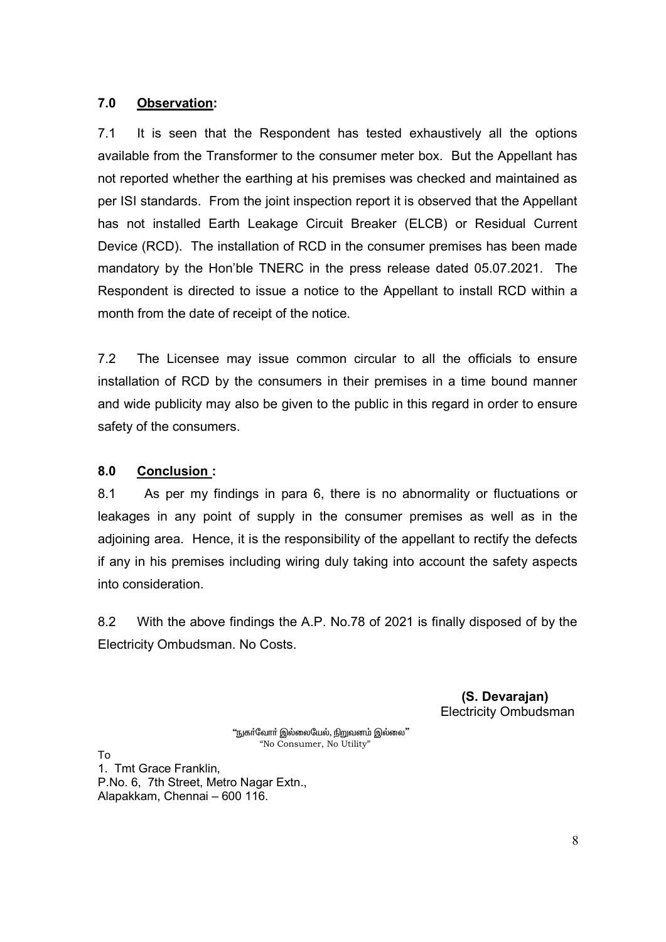#### **7.0 Observation:**

7.1 It is seen that the Respondent has tested exhaustively all the options available from the Transformer to the consumer meter box. But the Appellant has not reported whether the earthing at his premises was checked and maintained as per ISI standards. From the joint inspection report it is observed that the Appellant has not installed Earth Leakage Circuit Breaker (ELCB) or Residual Current Device (RCD). The installation of RCD in the consumer premises has been made mandatory by the Hon'ble TNERC in the press release dated 05.07.2021. The Respondent is directed to issue a notice to the Appellant to install RCD within a month from the date of receipt of the notice.

7.2 The Licensee may issue common circular to all the officials to ensure installation of RCD by the consumers in their premises in a time bound manner and wide publicity may also be given to the public in this regard in order to ensure safety of the consumers.

## **8.0 Conclusion :**

8.1 As per my findings in para 6, there is no abnormality or fluctuations or leakages in any point of supply in the consumer premises as well as in the adjoining area. Hence, it is the responsibility of the appellant to rectify the defects if any in his premises including wiring duly taking into account the safety aspects into consideration.

8.2 With the above findings the A.P. No.78 of 2021 is finally disposed of by the Electricity Ombudsman. No Costs.

> **(S. Devarajan)**  Electricity Ombudsman

"நுகர்வோர் இல்லையேல், நிறுவனம் இல்லை" "No Consumer, No Utility"

To

1. Tmt Grace Franklin, P.No. 6, 7th Street, Metro Nagar Extn., Alapakkam, Chennai – 600 116.